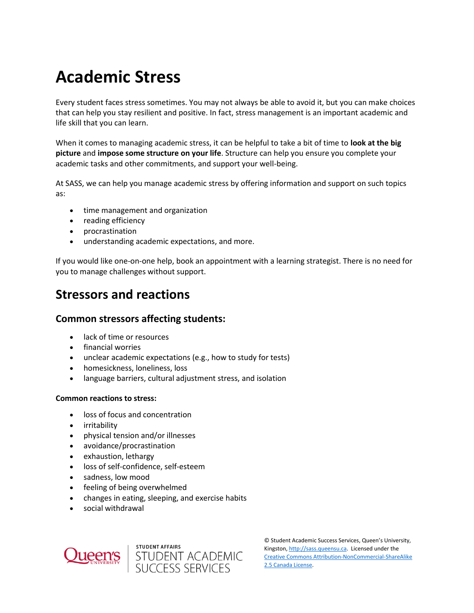# **Academic Stress**

Every student faces stress sometimes. You may not always be able to avoid it, but you can make choices that can help you stay resilient and positive. In fact, stress management is an important academic and life skill that you can learn.

When it comes to managing academic stress, it can be helpful to take a bit of time to **look at the big picture** and **impose some structure on your life**. Structure can help you ensure you complete your academic tasks and other commitments, and support your well-being.

At SASS, we can help you manage academic stress by offering information and support on such topics as:

- time management and organization
- reading efficiency
- procrastination
- understanding academic expectations, and more.

If you would like one-on-one help, book an appointment with a learning strategist. There is no need for you to manage challenges without support.

### **Stressors and reactions**

#### **Common stressors affecting students:**

- lack of time or resources
- financial worries
- unclear academic expectations (e.g., how to study for tests)
- homesickness, loneliness, loss
- language barriers, cultural adjustment stress, and isolation

#### **Common reactions to stress:**

- loss of focus and concentration
- **•** irritability
- physical tension and/or illnesses
- avoidance/procrastination
- exhaustion, lethargy
- loss of self-confidence, self-esteem
- sadness, low mood
- feeling of being overwhelmed
- changes in eating, sleeping, and exercise habits
- social withdrawal





© Student Academic Success Services, Queen's University, Kingston[, http://sass.queensu.ca.](http://sass.queensu.ca/) Licensed under the [Creative Commons Attribution-NonCommercial-ShareAlike](http://creativecommons.org/licenses/by-nc-sa/2.5/ca/)  [2.5 Canada License.](http://creativecommons.org/licenses/by-nc-sa/2.5/ca/)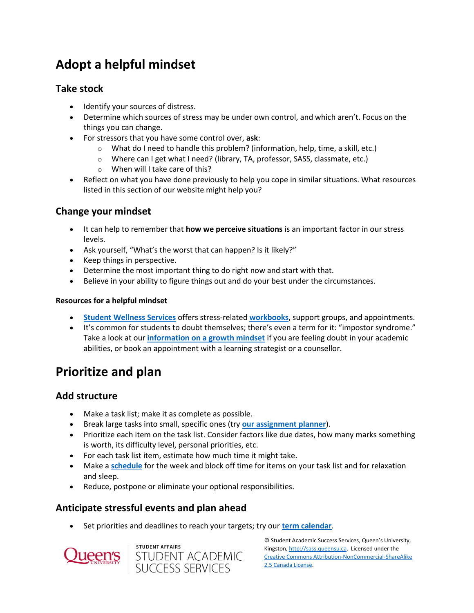# **Adopt a helpful mindset**

#### **Take stock**

- Identify your sources of distress.
- Determine which sources of stress may be under own control, and which aren't. Focus on the things you can change.
- For stressors that you have some control over, **ask**:
	- o What do I need to handle this problem? (information, help, time, a skill, etc.)
	- o Where can I get what I need? (library, TA, professor, SASS, classmate, etc.)
	- o When will I take care of this?
- Reflect on what you have done previously to help you cope in similar situations. What resources listed in this section of our website might help you?

#### **Change your mindset**

- It can help to remember that **how we perceive situations** is an important factor in our stress levels.
- Ask yourself, "What's the worst that can happen? Is it likely?"
- Keep things in perspective.
- Determine the most important thing to do right now and start with that.
- Believe in your ability to figure things out and do your best under the circumstances.

#### **Resources for a helpful mindset**

- **[Student Wellness Services](http://queensu.ca/studentwellness/)** offers stress-related **[workbooks](https://www.queensu.ca/studentwellness/supports-resources#work-book)**, support groups, and appointments.
- It's common for students to doubt themselves; there's even a term for it: "impostor syndrome." Take a look at our **[information on a growth mindset](https://wp3-dev.its.queensu.ca/ha/sasswww/resources/perfectionism)** if you are feeling doubt in your academic abilities, or book an appointment with a learning strategist or a counsellor.

# **Prioritize and plan**

#### **Add structure**

- Make a task list; make it as complete as possible.
- Break large tasks into small, specific ones (try **[our assignment planner](https://wp3-dev.its.queensu.ca/ha/sasswww/assignments)**).
- Prioritize each item on the task list. Consider factors like due dates, how many marks something is worth, its difficulty level, personal priorities, etc.
- For each task list item, estimate how much time it might take.
- Make a **[schedule](http://sass.queensu.ca/wp-content/uploads/2019/02/Weekly-Schedule-Template-2019.docx.pdf)** for the week and block off time for items on your task list and for relaxation and sleep.
- Reduce, postpone or eliminate your optional responsibilities.

#### **Anticipate stressful events and plan ahead**

Set priorities and deadlines to reach your targets; try our **[term calendar](https://sass.queensu.ca/wp-content/uploads/2019/02/Term-Calendar-Template-2019.pdf)**.





© Student Academic Success Services, Queen's University, Kingston[, http://sass.queensu.ca.](http://sass.queensu.ca/) Licensed under the [Creative Commons Attribution-NonCommercial-ShareAlike](http://creativecommons.org/licenses/by-nc-sa/2.5/ca/)  [2.5 Canada License.](http://creativecommons.org/licenses/by-nc-sa/2.5/ca/)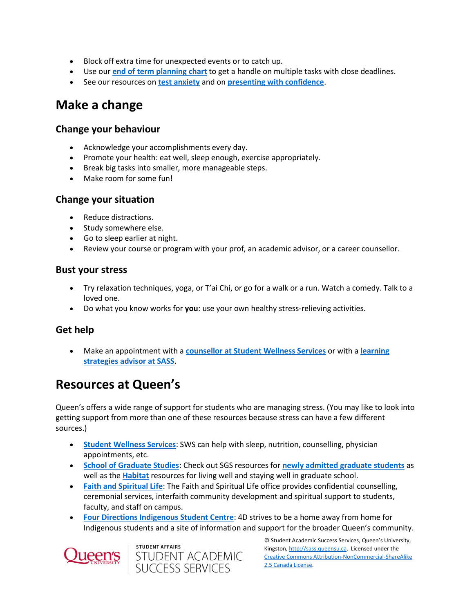- Block off extra time for unexpected events or to catch up.
- Use our **[end of term planning chart](chrome-extension://efaidnbmnnnibpcajpcglclefindmkaj/viewer.html?pdfurl=http%3A%2F%2Fsass.queensu.ca%2Fwp-content%2Fuploads%2F2019%2F05%2FEnd-of-term-planning-chart-2019.pdf&clen=265566&chunk=true)** to get a handle on multiple tasks with close deadlines.
- See our resources on **[test anxiety](https://wp3-dev.its.queensu.ca/ha/sasswww/resources/managing-test-anxiety)** and on **[presenting with confidence](https://wp3-dev.its.queensu.ca/ha/sasswww/resources/presentation-skills)**.

## **Make a change**

#### **Change your behaviour**

- Acknowledge your accomplishments every day.
- Promote your health: eat well, sleep enough, exercise appropriately.
- Break big tasks into smaller, more manageable steps.
- Make room for some fun!

#### **Change your situation**

- Reduce distractions.
- Study somewhere else.
- Go to sleep earlier at night.
- Review your course or program with your prof, an academic advisor, or a career counsellor.

#### **Bust your stress**

- Try relaxation techniques, yoga, or T'ai Chi, or go for a walk or a run. Watch a comedy. Talk to a loved one.
- Do what you know works for **you**: use your own healthy stress-relieving activities.

#### **Get help**

 Make an appointment with a **[counsellor at Student Wellness Services](http://www.queensu.ca/studentwellness/counselling-services)** or with a **[learning](https://wp3-dev.its.queensu.ca/ha/sasswww/academic-support/appointments)  [strategies advisor at SASS](https://wp3-dev.its.queensu.ca/ha/sasswww/academic-support/appointments)**.

## **Resources at Queen's**

Queen's offers a wide range of support for students who are managing stress. (You may like to look into getting support from more than one of these resources because stress can have a few different sources.)

- **[Student Wellness Services](http://www.queensu.ca/studentwellness/home)**: SWS can help with sleep, nutrition, counselling, physician appointments, etc.
- **[School of Graduate Studies](https://www.queensu.ca/sgs/home)**: Check out SGS resources for **[newly admitted graduate students](https://www.queensu.ca/sgs/current-students)** as well as the **[Habitat](https://www.queensu.ca/sgs/current-students/sgs-habitat)** resources for living well and staying well in graduate school.
- **[Faith and Spiritual Life](https://www.queensu.ca/faith-and-spiritual-life/home)**: The Faith and Spiritual Life office provides confidential counselling, ceremonial services, interfaith community development and spiritual support to students, faculty, and staff on campus.
- **[Four Directions Indigenous Student Centre](https://www.queensu.ca/fourdirections/home)**: 4D strives to be a home away from home for Indigenous students and a site of information and support for the broader Queen's community.





© Student Academic Success Services, Queen's University, Kingston[, http://sass.queensu.ca.](http://sass.queensu.ca/) Licensed under the [Creative Commons Attribution-NonCommercial-ShareAlike](http://creativecommons.org/licenses/by-nc-sa/2.5/ca/)  [2.5 Canada License.](http://creativecommons.org/licenses/by-nc-sa/2.5/ca/)